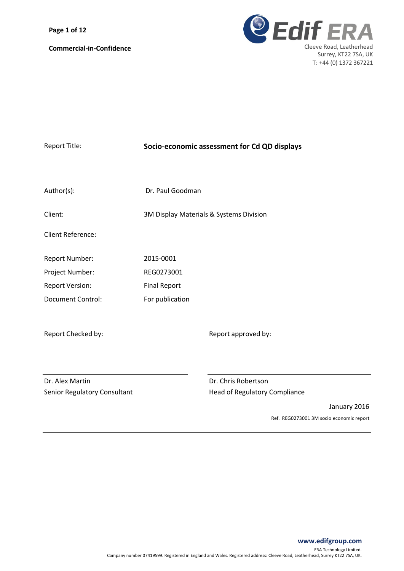**Page 1 of 12**



| <b>Report Title:</b>         | Socio-economic assessment for Cd QD displays |  |  |
|------------------------------|----------------------------------------------|--|--|
|                              |                                              |  |  |
| Author(s):                   | Dr. Paul Goodman                             |  |  |
| Client:                      | 3M Display Materials & Systems Division      |  |  |
| <b>Client Reference:</b>     |                                              |  |  |
| Report Number:               | 2015-0001                                    |  |  |
| Project Number:              | REG0273001                                   |  |  |
| <b>Report Version:</b>       | <b>Final Report</b>                          |  |  |
| <b>Document Control:</b>     | For publication                              |  |  |
|                              |                                              |  |  |
| Report Checked by:           | Report approved by:                          |  |  |
|                              |                                              |  |  |
|                              |                                              |  |  |
| Dr. Alex Martin              | Dr. Chris Robertson                          |  |  |
| Senior Regulatory Consultant | <b>Head of Regulatory Compliance</b>         |  |  |
|                              | January 2016                                 |  |  |
|                              | Ref. REG0273001 3M socio economic report     |  |  |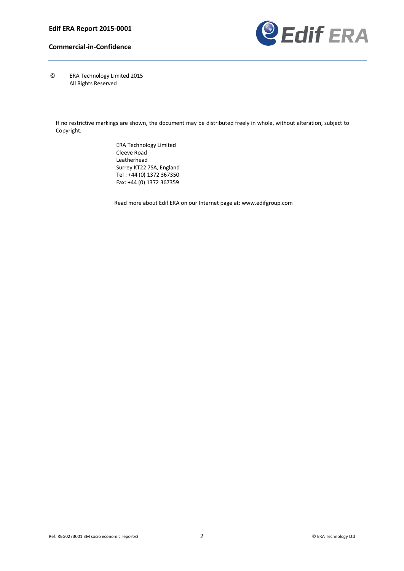

© ERA Technology Limited 2015 All Rights Reserved

If no restrictive markings are shown, the document may be distributed freely in whole, without alteration, subject to Copyright.

> ERA Technology Limited Cleeve Road Leatherhead Surrey KT22 7SA, England Tel : +44 (0) 1372 367350 Fax: +44 (0) 1372 367359

Read more about Edif ERA on our Internet page at: www.edifgroup.com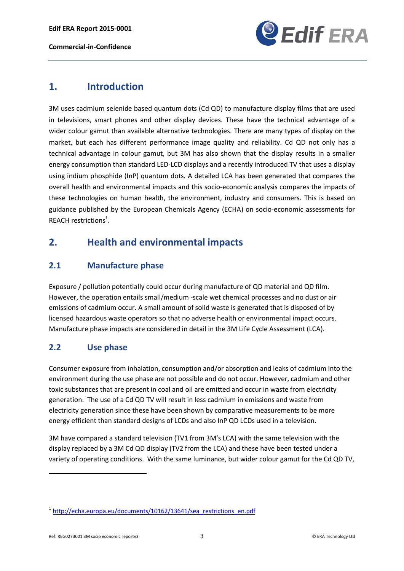**Edif ERA Report 2015-0001**

**Commercial-in-Confidence**



## **1. Introduction**

3M uses cadmium selenide based quantum dots (Cd QD) to manufacture display films that are used in televisions, smart phones and other display devices. These have the technical advantage of a wider colour gamut than available alternative technologies. There are many types of display on the market, but each has different performance image quality and reliability. Cd QD not only has a technical advantage in colour gamut, but 3M has also shown that the display results in a smaller energy consumption than standard LED-LCD displays and a recently introduced TV that uses a display using indium phosphide (InP) quantum dots. A detailed LCA has been generated that compares the overall health and environmental impacts and this socio-economic analysis compares the impacts of these technologies on human health, the environment, industry and consumers. This is based on guidance published by the European Chemicals Agency (ECHA) on socio-economic assessments for REACH restrictions<sup>1</sup>.

# **2. Health and environmental impacts**

## **2.1 Manufacture phase**

Exposure / pollution potentially could occur during manufacture of QD material and QD film. However, the operation entails small/medium -scale wet chemical processes and no dust or air emissions of cadmium occur. A small amount of solid waste is generated that is disposed of by licensed hazardous waste operators so that no adverse health or environmental impact occurs. Manufacture phase impacts are considered in detail in the 3M Life Cycle Assessment (LCA).

## **2.2 Use phase**

Consumer exposure from inhalation, consumption and/or absorption and leaks of cadmium into the environment during the use phase are not possible and do not occur. However, cadmium and other toxic substances that are present in coal and oil are emitted and occur in waste from electricity generation. The use of a Cd QD TV will result in less cadmium in emissions and waste from electricity generation since these have been shown by comparative measurements to be more energy efficient than standard designs of LCDs and also InP QD LCDs used in a television.

3M have compared a standard television (TV1 from 3M's LCA) with the same television with the display replaced by a 3M Cd QD display (TV2 from the LCA) and these have been tested under a variety of operating conditions. With the same luminance, but wider colour gamut for the Cd QD TV,

**.** 

 $1$  http://echa.europa.eu/documents/10162/13641/sea\_restrictions\_en.pdf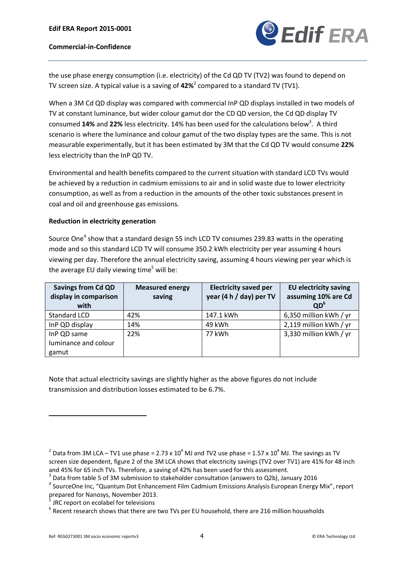

the use phase energy consumption (i.e. electricity) of the Cd QD TV (TV2) was found to depend on TV screen size. A typical value is a saving of **42%**<sup>2</sup> compared to a standard TV (TV1).

When a 3M Cd QD display was compared with commercial InP QD displays installed in two models of TV at constant luminance, but wider colour gamut dor the CD QD version, the Cd QD display TV consumed 14% and 22% less electricity. 14% has been used for the calculations below<sup>3</sup>. A third scenario is where the luminance and colour gamut of the two display types are the same. This is not measurable experimentally, but it has been estimated by 3M that the Cd QD TV would consume **22%** less electricity than the InP QD TV.

Environmental and health benefits compared to the current situation with standard LCD TVs would be achieved by a reduction in cadmium emissions to air and in solid waste due to lower electricity consumption, as well as from a reduction in the amounts of the other toxic substances present in coal and oil and greenhouse gas emissions.

#### **Reduction in electricity generation**

Source One<sup>4</sup> show that a standard design 55 inch LCD TV consumes 239.83 watts in the operating mode and so this standard LCD TV will consume 350.2 kWh electricity per year assuming 4 hours viewing per day. Therefore the annual electricity saving, assuming 4 hours viewing per year which is the average EU daily viewing time<sup>5</sup> will be:

| <b>Savings from Cd QD</b><br>display in comparison<br>with | <b>Measured energy</b><br>saving | <b>Electricity saved per</b><br>year (4 h / day) per TV | <b>EU electricity saving</b><br>assuming 10% are Cd<br>OD <sup>6</sup> |
|------------------------------------------------------------|----------------------------------|---------------------------------------------------------|------------------------------------------------------------------------|
| Standard LCD                                               | 42%                              | 147.1 kWh                                               | 6,350 million kWh / yr                                                 |
| InP QD display                                             | 14%                              | 49 kWh                                                  | 2,119 million kWh / yr                                                 |
| InP QD same                                                | 22%                              | 77 kWh                                                  | 3,330 million kWh / yr                                                 |
| luminance and colour                                       |                                  |                                                         |                                                                        |
| gamut                                                      |                                  |                                                         |                                                                        |

Note that actual electricity savings are slightly higher as the above figures do not include transmission and distribution losses estimated to be 6.7%.

<sup>&</sup>lt;sup>2</sup> Data from 3M LCA – TV1 use phase = 2.73 x 10<sup>4</sup> MJ and TV2 use phase = 1.57 x 10<sup>4</sup> MJ. The savings as TV screen size dependent, figure 2 of the 3M LCA shows that electricity savings (TV2 over TV1) are 41% for 48 inch

and 45% for 65 inch TVs. Therefore, a saving of 42% has been used for this assessment.<br><sup>3</sup> Data from table 5 of 3M submission to stakeholder consultation (answers to Q2b), January 2016<br><sup>4</sup> SourceOne Inc, "Quantum Dot Enha prepared for Nanosys, November 2013.

 $<sup>5</sup>$  JRC report on ecolabel for televisions<br> $<sup>6</sup>$  Recent research shows that there are two TVs per EU household, there are 216 million households</sup></sup>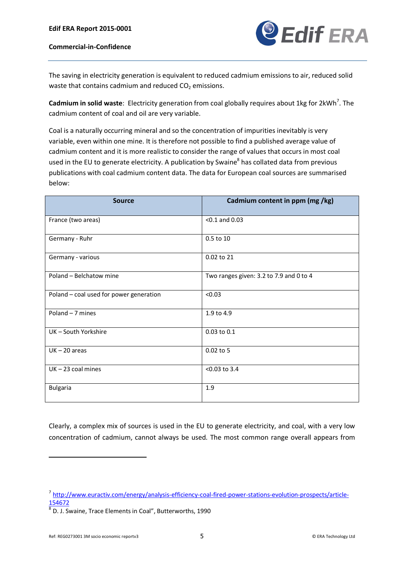

The saving in electricity generation is equivalent to reduced cadmium emissions to air, reduced solid waste that contains cadmium and reduced  $CO<sub>2</sub>$  emissions.

Cadmium in solid waste: Electricity generation from coal globally requires about 1kg for 2kWh<sup>7</sup>. The cadmium content of coal and oil are very variable.

Coal is a naturally occurring mineral and so the concentration of impurities inevitably is very variable, even within one mine. It is therefore not possible to find a published average value of cadmium content and it is more realistic to consider the range of values that occurs in most coal used in the EU to generate electricity. A publication by Swaine<sup>8</sup> has collated data from previous publications with coal cadmium content data. The data for European coal sources are summarised below:

| <b>Source</b>                           | Cadmium content in ppm (mg /kg)         |
|-----------------------------------------|-----------------------------------------|
| France (two areas)                      | $< 0.1$ and 0.03                        |
| Germany - Ruhr                          | 0.5 to 10                               |
| Germany - various                       | 0.02 to 21                              |
| Poland - Belchatow mine                 | Two ranges given: 3.2 to 7.9 and 0 to 4 |
| Poland - coal used for power generation | < 0.03                                  |
| Poland - 7 mines                        | 1.9 to 4.9                              |
| UK-South Yorkshire                      | 0.03 to 0.1                             |
| $UK - 20$ areas                         | $0.02$ to 5                             |
| $UK - 23$ coal mines                    | $< 0.03$ to 3.4                         |
| <b>Bulgaria</b>                         | 1.9                                     |

Clearly, a complex mix of sources is used in the EU to generate electricity, and coal, with a very low concentration of cadmium, cannot always be used. The most common range overall appears from

<sup>7</sup> http://www.euractiv.com/energy/analysis-efficiency-coal-fired-power-stations-evolution-prospects/article-154672

 $8\overline{8}$  D. J. Swaine, Trace Elements in Coal", Butterworths, 1990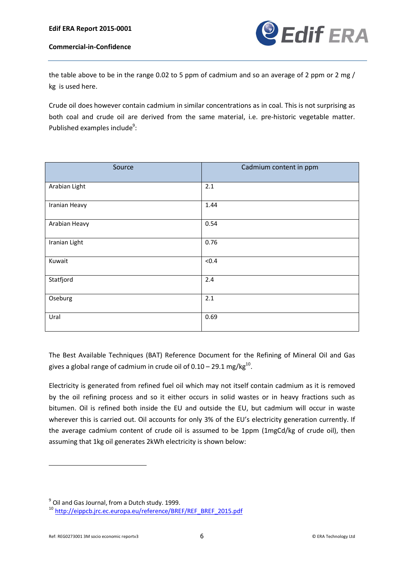

the table above to be in the range 0.02 to 5 ppm of cadmium and so an average of 2 ppm or 2 mg / kg is used here.

Crude oil does however contain cadmium in similar concentrations as in coal. This is not surprising as both coal and crude oil are derived from the same material, i.e. pre-historic vegetable matter. Published examples include<sup>9</sup>:

| Source        | Cadmium content in ppm |
|---------------|------------------------|
| Arabian Light | 2.1                    |
| Iranian Heavy | 1.44                   |
| Arabian Heavy | 0.54                   |
| Iranian Light | 0.76                   |
| Kuwait        | < 0.4                  |
| Statfjord     | 2.4                    |
| Oseburg       | 2.1                    |
| Ural          | 0.69                   |

The Best Available Techniques (BAT) Reference Document for the Refining of Mineral Oil and Gas gives a global range of cadmium in crude oil of  $0.10 - 29.1$  mg/kg<sup>10</sup>.

Electricity is generated from refined fuel oil which may not itself contain cadmium as it is removed by the oil refining process and so it either occurs in solid wastes or in heavy fractions such as bitumen. Oil is refined both inside the EU and outside the EU, but cadmium will occur in waste wherever this is carried out. Oil accounts for only 3% of the EU's electricity generation currently. If the average cadmium content of crude oil is assumed to be 1ppm (1mgCd/kg of crude oil), then assuming that 1kg oil generates 2kWh electricity is shown below:

 $^{9}$  Oil and Gas Journal, from a Dutch study. 1999.

<sup>10</sup> http://eippcb.jrc.ec.europa.eu/reference/BREF/REF\_BREF\_2015.pdf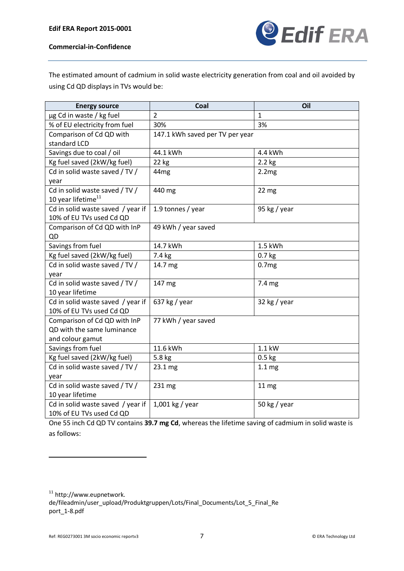

The estimated amount of cadmium in solid waste electricity generation from coal and oil avoided by using Cd QD displays in TVs would be:

| <b>Energy source</b>              | Coal                            | Oil               |
|-----------------------------------|---------------------------------|-------------------|
| µg Cd in waste / kg fuel          | $\overline{2}$                  | $\mathbf{1}$      |
| % of EU electricity from fuel     | 3%<br>30%                       |                   |
| Comparison of Cd QD with          | 147.1 kWh saved per TV per year |                   |
| standard LCD                      |                                 |                   |
| Savings due to coal / oil         | 44.1 kWh                        | 4.4 kWh           |
| Kg fuel saved (2kW/kg fuel)       | 22 kg                           | $2.2$ kg          |
| Cd in solid waste saved / TV /    | 44 <sub>mg</sub>                | 2.2mg             |
| year                              |                                 |                   |
| Cd in solid waste saved / TV /    | 440 mg                          | 22 <sub>mg</sub>  |
| 10 year lifetime <sup>11</sup>    |                                 |                   |
| Cd in solid waste saved / year if | 1.9 tonnes / year               | 95 kg / year      |
| 10% of EU TVs used Cd QD          |                                 |                   |
| Comparison of Cd QD with InP      | 49 kWh / year saved             |                   |
| QD                                |                                 |                   |
| Savings from fuel                 | 14.7 kWh                        | 1.5 kWh           |
| Kg fuel saved (2kW/kg fuel)       | 7.4 kg                          | $0.7$ kg          |
| Cd in solid waste saved / TV /    | 14.7 mg                         | 0.7 <sub>mg</sub> |
| year                              |                                 |                   |
| Cd in solid waste saved / TV /    | 147 mg                          | 7.4 mg            |
| 10 year lifetime                  |                                 |                   |
| Cd in solid waste saved / year if | 637 kg / year                   | 32 kg / year      |
| 10% of EU TVs used Cd QD          |                                 |                   |
| Comparison of Cd QD with InP      | 77 kWh / year saved             |                   |
| QD with the same luminance        |                                 |                   |
| and colour gamut                  |                                 |                   |
| Savings from fuel                 | 11.6 kWh                        | 1.1 kW            |
| Kg fuel saved (2kW/kg fuel)       | 5.8 kg                          | $0.5$ kg          |
| Cd in solid waste saved / TV /    | 23.1 mg                         | 1.1 <sub>mg</sub> |
| year                              |                                 |                   |
| Cd in solid waste saved / TV /    | 231 mg                          | 11 <sub>mg</sub>  |
| 10 year lifetime                  |                                 |                   |
| Cd in solid waste saved / year if | $1,001$ kg / year               | 50 kg / year      |
| 10% of EU TVs used Cd QD          |                                 |                   |

One 55 inch Cd QD TV contains **39.7 mg Cd**, whereas the lifetime saving of cadmium in solid waste is as follows:

<sup>11</sup> http://www.eupnetwork.

de/fileadmin/user\_upload/Produktgruppen/Lots/Final\_Documents/Lot\_5\_Final\_Re port\_1-8.pdf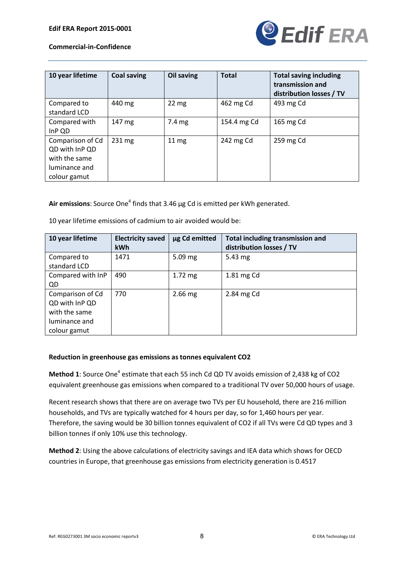

| 10 year lifetime                                                                     | <b>Coal saving</b> | Oil saving      | <b>Total</b> | <b>Total saving including</b><br>transmission and<br>distribution losses / TV |
|--------------------------------------------------------------------------------------|--------------------|-----------------|--------------|-------------------------------------------------------------------------------|
| Compared to<br>standard LCD                                                          | 440 mg             | $22 \text{ mg}$ | 462 mg Cd    | 493 mg Cd                                                                     |
| Compared with<br>InP QD                                                              | 147 mg             | 7.4 mg          | 154.4 mg Cd  | 165 mg Cd                                                                     |
| Comparison of Cd<br>QD with InP QD<br>with the same<br>luminance and<br>colour gamut | $231 \text{ mg}$   | $11 \text{ mg}$ | 242 mg Cd    | 259 mg Cd                                                                     |

Air emissions: Source One<sup>4</sup> finds that 3.46 µg Cd is emitted per kWh generated.

10 year lifetime emissions of cadmium to air avoided would be:

| 10 year lifetime  | <b>Electricity saved</b> | µg Cd emitted | <b>Total including transmission and</b> |
|-------------------|--------------------------|---------------|-----------------------------------------|
|                   | <b>kWh</b>               |               | distribution losses / TV                |
| Compared to       | 1471                     | $5.09$ mg     | $5.43 \text{ mg}$                       |
| standard LCD      |                          |               |                                         |
| Compared with InP | 490                      | $1.72$ mg     | 1.81 mg Cd                              |
| QD                |                          |               |                                         |
| Comparison of Cd  | 770                      | $2.66$ mg     | 2.84 mg Cd                              |
| QD with InP QD    |                          |               |                                         |
| with the same     |                          |               |                                         |
| luminance and     |                          |               |                                         |
| colour gamut      |                          |               |                                         |

#### **Reduction in greenhouse gas emissions as tonnes equivalent CO2**

**Method 1**: Source One<sup>4</sup> estimate that each 55 inch Cd QD TV avoids emission of 2,438 kg of CO2 equivalent greenhouse gas emissions when compared to a traditional TV over 50,000 hours of usage.

Recent research shows that there are on average two TVs per EU household, there are 216 million households, and TVs are typically watched for 4 hours per day, so for 1,460 hours per year. Therefore, the saving would be 30 billion tonnes equivalent of CO2 if all TVs were Cd QD types and 3 billion tonnes if only 10% use this technology.

**Method 2**: Using the above calculations of electricity savings and IEA data which shows for OECD countries in Europe, that greenhouse gas emissions from electricity generation is 0.4517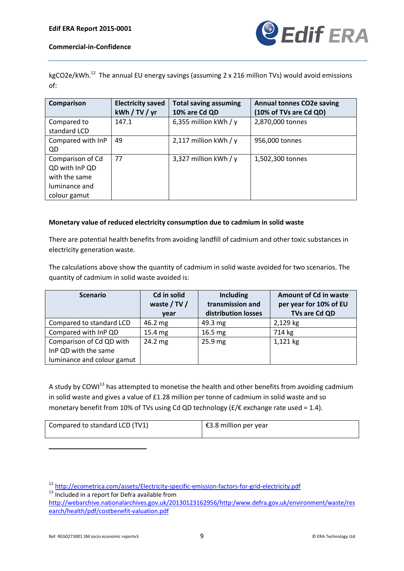

kgCO2e/kWh.<sup>12</sup> The annual EU energy savings (assuming 2 x 216 million TVs) would avoid emissions of:

| Comparison                                                                           | <b>Electricity saved</b><br>kWh / TV / yr | <b>Total saving assuming</b><br>10% are Cd QD | <b>Annual tonnes CO2e saving</b><br>(10% of TVs are Cd QD) |
|--------------------------------------------------------------------------------------|-------------------------------------------|-----------------------------------------------|------------------------------------------------------------|
| Compared to<br>standard LCD                                                          | 147.1                                     | 6,355 million kWh / $y$                       | 2,870,000 tonnes                                           |
| Compared with InP<br>QD.                                                             | 49                                        | 2,117 million kWh / $y$                       | 956,000 tonnes                                             |
| Comparison of Cd<br>QD with InP QD<br>with the same<br>luminance and<br>colour gamut | 77                                        | 3,327 million kWh / $y$                       | 1,502,300 tonnes                                           |

#### **Monetary value of reduced electricity consumption due to cadmium in solid waste**

There are potential health benefits from avoiding landfill of cadmium and other toxic substances in electricity generation waste.

The calculations above show the quantity of cadmium in solid waste avoided for two scenarios. The quantity of cadmium in solid waste avoided is:

| <b>Scenario</b>            | Cd in solid<br>waste / TV /<br>year | <b>Including</b><br>transmission and<br>distribution losses | <b>Amount of Cd in waste</b><br>per year for 10% of EU<br>TVs are Cd QD |
|----------------------------|-------------------------------------|-------------------------------------------------------------|-------------------------------------------------------------------------|
| Compared to standard LCD   | 46.2 mg                             | 49.3 mg                                                     | 2,129 kg                                                                |
| Compared with InP QD       | 15.4 mg                             | $16.5 \text{ mg}$                                           | 714 kg                                                                  |
| Comparison of Cd QD with   | 24.2 mg                             | $25.9$ mg                                                   | 1,121 kg                                                                |
| InP QD with the same       |                                     |                                                             |                                                                         |
| luminance and colour gamut |                                     |                                                             |                                                                         |

A study by COWI $^{13}$  has attempted to monetise the health and other benefits from avoiding cadmium in solid waste and gives a value of £1.28 million per tonne of cadmium in solid waste and so monetary benefit from 10% of TVs using Cd QD technology ( $E/\epsilon$  exchange rate used = 1.4).

| Compared to standard LCD (TV1) | €3.8 million per year |
|--------------------------------|-----------------------|
|--------------------------------|-----------------------|

<sup>12</sup> http://ecometrica.com/assets/Electricity-specific-emission-factors-for-grid-electricity.pdf<br><sup>13</sup> Included in a report for Defra available from

http://webarchive.nationalarchives.gov.uk/20130123162956/http:/www.defra.gov.uk/environment/waste/res earch/health/pdf/costbenefit-valuation.pdf

-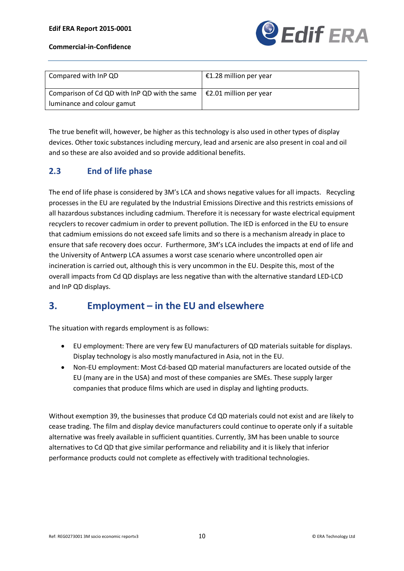| Compared with InP QD                                                                   | €1.28 million per year |
|----------------------------------------------------------------------------------------|------------------------|
| Comparison of Cd QD with InP QD with the same $\vert$ $\epsilon$ 2.01 million per year |                        |
| luminance and colour gamut                                                             |                        |

The true benefit will, however, be higher as this technology is also used in other types of display devices. Other toxic substances including mercury, lead and arsenic are also present in coal and oil and so these are also avoided and so provide additional benefits.

## **2.3 End of life phase**

The end of life phase is considered by 3M's LCA and shows negative values for all impacts. Recycling processes in the EU are regulated by the Industrial Emissions Directive and this restricts emissions of all hazardous substances including cadmium. Therefore it is necessary for waste electrical equipment recyclers to recover cadmium in order to prevent pollution. The IED is enforced in the EU to ensure that cadmium emissions do not exceed safe limits and so there is a mechanism already in place to ensure that safe recovery does occur. Furthermore, 3M's LCA includes the impacts at end of life and the University of Antwerp LCA assumes a worst case scenario where uncontrolled open air incineration is carried out, although this is very uncommon in the EU. Despite this, most of the overall impacts from Cd QD displays are less negative than with the alternative standard LED-LCD and InP QD displays.

# **3. Employment – in the EU and elsewhere**

The situation with regards employment is as follows:

- · EU employment: There are very few EU manufacturers of QD materials suitable for displays. Display technology is also mostly manufactured in Asia, not in the EU.
- · Non-EU employment: Most Cd-based QD material manufacturers are located outside of the EU (many are in the USA) and most of these companies are SMEs. These supply larger companies that produce films which are used in display and lighting products.

Without exemption 39, the businesses that produce Cd QD materials could not exist and are likely to cease trading. The film and display device manufacturers could continue to operate only if a suitable alternative was freely available in sufficient quantities. Currently, 3M has been unable to source alternatives to Cd QD that give similar performance and reliability and it is likely that inferior performance products could not complete as effectively with traditional technologies.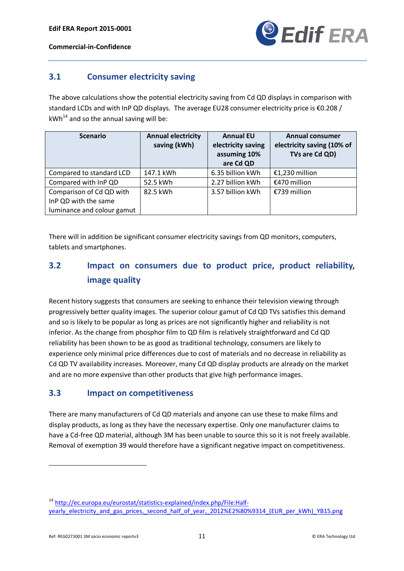

### **3.1 Consumer electricity saving**

The above calculations show the potential electricity saving from Cd QD displays in comparison with standard LCDs and with InP QD displays. The average EU28 consumer electricity price is €0.208 /  $kWh^{14}$  and so the annual saving will be:

| <b>Scenario</b>            | <b>Annual electricity</b><br>saving (kWh) | <b>Annual EU</b><br>electricity saving<br>assuming 10%<br>are Cd QD | <b>Annual consumer</b><br>electricity saving (10% of<br>TVs are Cd QD) |
|----------------------------|-------------------------------------------|---------------------------------------------------------------------|------------------------------------------------------------------------|
| Compared to standard LCD   | 147.1 kWh                                 | 6.35 billion kWh                                                    | €1,230 million                                                         |
| Compared with InP QD       | 52.5 kWh                                  | 2.27 billion kWh                                                    | €470 million                                                           |
| Comparison of Cd QD with   | 82.5 kWh                                  | 3.57 billion kWh                                                    | €739 million                                                           |
| InP QD with the same       |                                           |                                                                     |                                                                        |
| luminance and colour gamut |                                           |                                                                     |                                                                        |

There will in addition be significant consumer electricity savings from QD monitors, computers, tablets and smartphones.

# **3.2 Impact on consumers due to product price, product reliability, image quality**

Recent history suggests that consumers are seeking to enhance their television viewing through progressively better quality images. The superior colour gamut of Cd QD TVs satisfies this demand and so is likely to be popular as long as prices are not significantly higher and reliability is not inferior. As the change from phosphor film to QD film is relatively straightforward and Cd QD reliability has been shown to be as good as traditional technology, consumers are likely to experience only minimal price differences due to cost of materials and no decrease in reliability as Cd QD TV availability increases. Moreover, many Cd QD display products are already on the market and are no more expensive than other products that give high performance images.

## **3.3 Impact on competitiveness**

There are many manufacturers of Cd QD materials and anyone can use these to make films and display products, as long as they have the necessary expertise. Only one manufacturer claims to have a Cd-free QD material, although 3M has been unable to source this so it is not freely available. Removal of exemption 39 would therefore have a significant negative impact on competitiveness.

<sup>14</sup> http://ec.europa.eu/eurostat/statistics-explained/index.php/File:Halfyearly\_electricity\_and\_gas\_prices,\_second\_half\_of\_year,\_2012%E2%80%9314\_(EUR\_per\_kWh)\_YB15.png